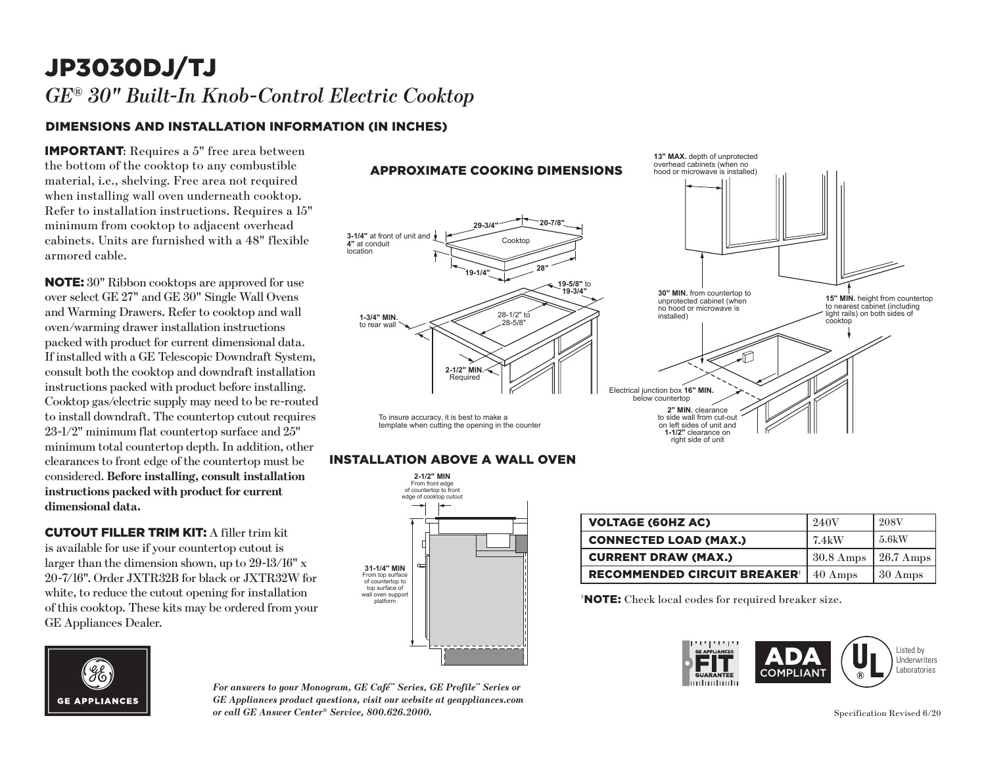# JP3030DJ/TJ *GE® 30" Built-In Knob-Control Electric Cooktop*

## DIMENSIONS AND INSTALLATION INFORMATION (IN INCHES)

IMPORTANT: Requires a 5" free area between the bottom of the cooktop to any combustible material, i.e., shelving. Free area not required when installing wall oven underneath cooktop. Refer to installation instructions. Requires a 15" minimum from cooktop to adjacent overhead cabinets. Units are furnished with a 48" flexible armored cable.

NOTE: 30" Ribbon cooktops are approved for use over select GE 27" and GE 30" Single Wall Ovens and Warming Drawers. Refer to cooktop and wall oven/warming drawer installation instructions packed with product for current dimensional data. If installed with a GE Telescopic Downdraft System, consult both the cooktop and downdraft installation instructions packed with product before installing. Cooktop gas/electric supply may need to be re-routed to install downdraft. The countertop cutout requires 23-1/2" minimum flat countertop surface and 25" minimum total countertop depth. In addition, other clearances to front edge of the countertop must be considered. **Before installing, consult installation instructions packed with product for current dimensional data.**

CUTOUT FILLER TRIM KIT: A filler trim kit is available for use if your countertop cutout is larger than the dimension shown, up to 29-13/16" x 20-7/16". Order JXTR32B for black or JXTR32W for white, to reduce the cutout opening for installation of this cooktop. These kits may be ordered from your GE Appliances Dealer.



*For answers to your Monogram, GE Café™ Series, GE Profile™ Series or GE Appliances product questions, visit our website at geappliances.com or call GE Answer Center® Service, 800.626.2000.*



#### **INSTALLATION ABOVE A WALL OVEN**



| <b>VOLTAGE (60HZ AC)</b>                       | 240V                | <b>208V</b>       |
|------------------------------------------------|---------------------|-------------------|
| <b>CONNECTED LOAD (MAX.)</b>                   | 7.4kW               | 5.6kW             |
| <b>CURRENT DRAW (MAX.)</b>                     | $30.8 \text{ Amps}$ | 26.7 Amps         |
| <b>RECOMMENDED CIRCUIT BREAKER<sup>®</sup></b> | $40 \text{ Amps}$   | $30 \text{ Amps}$ |

† NOTE: Check local codes for required breaker size.